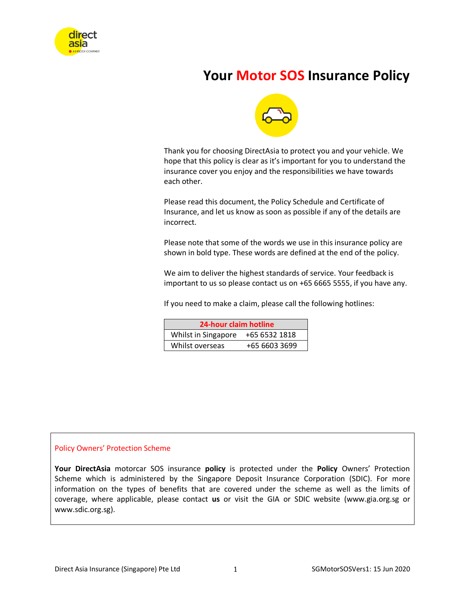

# **Your Motor SOS Insurance Policy**



Thank you for choosing DirectAsia to protect you and your vehicle. We hope that this policy is clear as it's important for you to understand the insurance cover you enjoy and the responsibilities we have towards each other.

Please read this document, the Policy Schedule and Certificate of Insurance, and let us know as soon as possible if any of the details are incorrect.

Please note that some of the words we use in this insurance policy are shown in bold type. These words are defined at the end of the policy.

We aim to deliver the highest standards of service. Your feedback is important to us so please contact us on +65 6665 5555, if you have any.

If you need to make a claim, please call the following hotlines:

| 24-hour claim hotline |               |  |
|-----------------------|---------------|--|
| Whilst in Singapore   | +65 6532 1818 |  |
| Whilst overseas       | +65 6603 3699 |  |

#### Policy Owners' Protection Scheme

**Your DirectAsia** motorcar SOS insurance **policy** is protected under the **Policy** Owners' Protection Scheme which is administered by the Singapore Deposit Insurance Corporation (SDIC). For more information on the types of benefits that are covered under the scheme as well as the limits of coverage, where applicable, please contact **us** or visit the GIA or SDIC website (www.gia.org.sg or www.sdic.org.sg).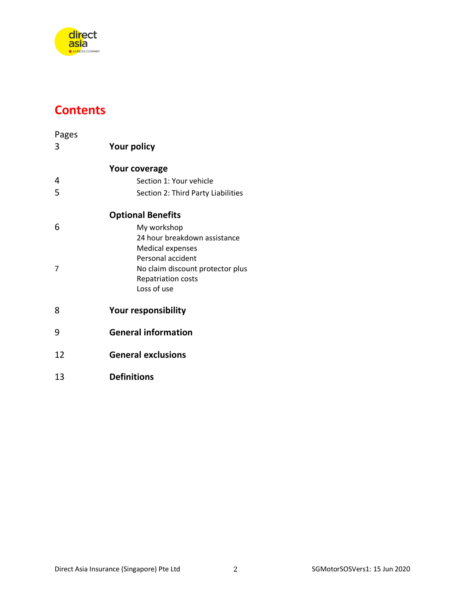

# **Contents**

| Pages |                                    |
|-------|------------------------------------|
| 3     | <b>Your policy</b>                 |
|       | <b>Your coverage</b>               |
| 4     | Section 1: Your vehicle            |
| 5     | Section 2: Third Party Liabilities |
|       | <b>Optional Benefits</b>           |
| 6     | My workshop                        |
|       | 24 hour breakdown assistance       |
|       | <b>Medical expenses</b>            |
|       | Personal accident                  |
| 7     | No claim discount protector plus   |
|       | <b>Repatriation costs</b>          |
|       | Loss of use                        |
| 8     | <b>Your responsibility</b>         |
| 9     | <b>General information</b>         |
|       | <b>General exclusions</b>          |
| 12    |                                    |
| 13    | <b>Definitions</b>                 |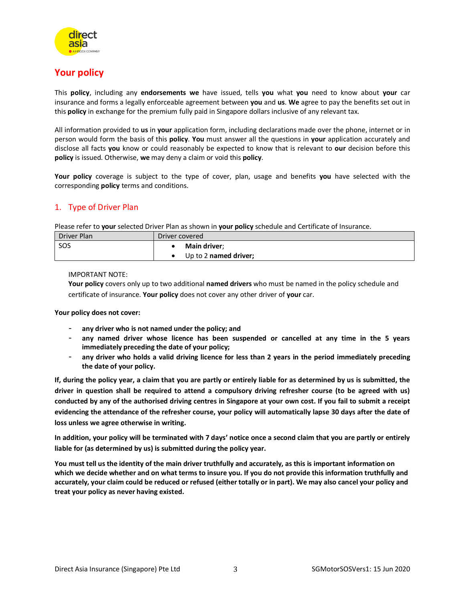

# **Your policy**

This **policy**, including any **endorsements we** have issued, tells **you** what **you** need to know about **your** car insurance and forms a legally enforceable agreement between **you** and **us**. **We** agree to pay the benefits set out in this **policy** in exchange for the premium fully paid in Singapore dollars inclusive of any relevant tax.

All information provided to **us** in **your** application form, including declarations made over the phone, internet or in person would form the basis of this **policy**. **You** must answer all the questions in **your** application accurately and disclose all facts **you** know or could reasonably be expected to know that is relevant to **our** decision before this **policy** is issued. Otherwise, **we** may deny a claim or void this **policy**.

**Your policy** coverage is subject to the type of cover, plan, usage and benefits **you** have selected with the corresponding **policy** terms and conditions.

### 1. Type of Driver Plan

Please refer to **your** selected Driver Plan as shown in **your policy** schedule and Certificate of Insurance.

| Driver Plan | Driver covered        |  |
|-------------|-----------------------|--|
| <b>SOS</b>  | <b>Main driver:</b>   |  |
|             | Up to 2 named driver; |  |

IMPORTANT NOTE:

**Your policy** covers only up to two additional **named drivers** who must be named in the policy schedule and certificate of insurance. **Your policy** does not cover any other driver of **your** car.

**Your policy does not cover:**

- **any driver who is not named under the policy; and**
- **any named driver whose licence has been suspended or cancelled at any time in the 5 years immediately preceding the date of your policy;**
- **any driver who holds a valid driving licence for less than 2 years in the period immediately preceding the date of your policy.**

**If, during the policy year, a claim that you are partly or entirely liable for as determined by us is submitted, the driver in question shall be required to attend a compulsory driving refresher course (to be agreed with us) conducted by any of the authorised driving centres in Singapore at your own cost. If you fail to submit a receipt evidencing the attendance of the refresher course, your policy will automatically lapse 30 days after the date of loss unless we agree otherwise in writing.** 

**In addition, your policy will be terminated with 7 days' notice once a second claim that you are partly or entirely liable for (as determined by us) is submitted during the policy year.** 

**You must tell us the identity of the main driver truthfully and accurately, as this is important information on which we decide whether and on what terms to insure you. If you do not provide this information truthfully and accurately, your claim could be reduced or refused (either totally or in part). We may also cancel your policy and treat your policy as never having existed.**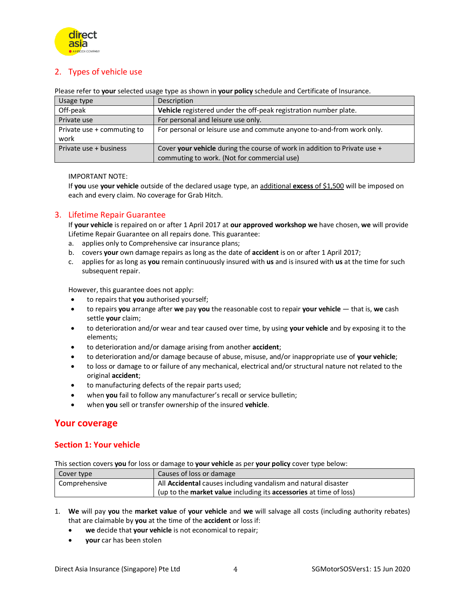

### 2. Types of vehicle use

Please refer to **your** selected usage type as shown in **your policy** schedule and Certificate of Insurance.

| Usage type                 | Description                                                                 |  |
|----------------------------|-----------------------------------------------------------------------------|--|
| Off-peak                   | Vehicle registered under the off-peak registration number plate.            |  |
| Private use                | For personal and leisure use only.                                          |  |
| Private use + commuting to | For personal or leisure use and commute anyone to-and-from work only.       |  |
| work                       |                                                                             |  |
| Private use + business     | Cover your vehicle during the course of work in addition to Private use $+$ |  |
|                            | commuting to work. (Not for commercial use)                                 |  |

IMPORTANT NOTE:

If **you** use **your vehicle** outside of the declared usage type, an additional **excess** of \$1,500 will be imposed on each and every claim. No coverage for Grab Hitch.

### 3. Lifetime Repair Guarantee

If **your vehicle** is repaired on or after 1 April 2017 at **our approved workshop we** have chosen, **we** will provide Lifetime Repair Guarantee on all repairs done. This guarantee:

- a. applies only to Comprehensive car insurance plans;
- b. covers **your** own damage repairs as long as the date of **accident** is on or after 1 April 2017;
- c. applies for as long as **you** remain continuously insured with **us** and is insured with **us** at the time for such subsequent repair.

However, this guarantee does not apply:

- to repairs that **you** authorised yourself;
- to repairs **you** arrange after **we** pay **you** the reasonable cost to repair **your vehicle** that is, **we** cash settle **your** claim;
- to deterioration and/or wear and tear caused over time, by using **your vehicle** and by exposing it to the elements;
- to deterioration and/or damage arising from another **accident**;
- to deterioration and/or damage because of abuse, misuse, and/or inappropriate use of **your vehicle**;
- to loss or damage to or failure of any mechanical, electrical and/or structural nature not related to the original **accident**;
- to manufacturing defects of the repair parts used;
- when **you** fail to follow any manufacturer's recall or service bulletin;
- when **you** sell or transfer ownership of the insured **vehicle**.

## **Your coverage**

### **Section 1: Your vehicle**

This section covers **you** for loss or damage to **your vehicle** as per **your policy** cover type below:

| Cover type    | Causes of loss or damage                                           |  |
|---------------|--------------------------------------------------------------------|--|
| Comprehensive | All Accidental causes including vandalism and natural disaster     |  |
|               | (up to the market value including its accessories at time of loss) |  |

- 1. **We** will pay **you** the **market value** of **your vehicle** and **we** will salvage all costs (including authority rebates) that are claimable by **you** at the time of the **accident** or loss if:
	- **we** decide that **your vehicle** is not economical to repair;
	- **your** car has been stolen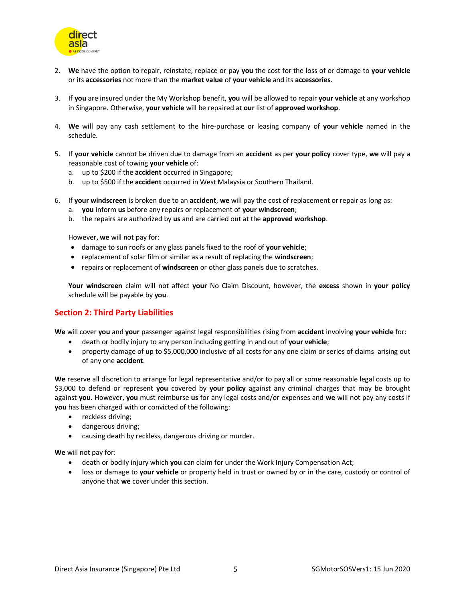

- 2. **We** have the option to repair, reinstate, replace or pay **you** the cost for the loss of or damage to **your vehicle** or its **accessories** not more than the **market value** of **your vehicle** and its **accessories**.
- 3. If **you** are insured under the My Workshop benefit, **you** will be allowed to repair **your vehicle** at any workshop in Singapore. Otherwise, **your vehicle** will be repaired at **our** list of **approved workshop**.
- 4. **We** will pay any cash settlement to the hire-purchase or leasing company of **your vehicle** named in the schedule.
- 5. If **your vehicle** cannot be driven due to damage from an **accident** as per **your policy** cover type, **we** will pay a reasonable cost of towing **your vehicle** of:
	- a. up to \$200 if the **accident** occurred in Singapore;
	- b. up to \$500 if the **accident** occurred in West Malaysia or Southern Thailand.
- 6. If **your windscreen** is broken due to an **accident**, **we** will pay the cost of replacement or repair as long as:
	- a. **you** inform **us** before any repairs or replacement of **your windscreen**;
	- b. the repairs are authorized by **us** and are carried out at the **approved workshop**.

However, **we** will not pay for:

- damage to sun roofs or any glass panels fixed to the roof of **your vehicle**;
- replacement of solar film or similar as a result of replacing the **windscreen**;
- repairs or replacement of **windscreen** or other glass panels due to scratches.

**Your windscreen** claim will not affect **your** No Claim Discount, however, the **excess** shown in **your policy** schedule will be payable by **you**.

#### **Section 2: Third Party Liabilities**

**We** will cover **you** and **your** passenger against legal responsibilities rising from **accident** involving **your vehicle** for:

- death or bodily injury to any person including getting in and out of **your vehicle**;
- property damage of up to \$5,000,000 inclusive of all costs for any one claim or series of claims arising out of any one **accident**.

**We** reserve all discretion to arrange for legal representative and/or to pay all or some reasonable legal costs up to \$3,000 to defend or represent **you** covered by **your policy** against any criminal charges that may be brought against **you**. However, **you** must reimburse **us** for any legal costs and/or expenses and **we** will not pay any costs if **you** has been charged with or convicted of the following:

- reckless driving;
- dangerous driving;
- causing death by reckless, dangerous driving or murder.

**We** will not pay for:

- death or bodily injury which **you** can claim for under the Work Injury Compensation Act;
- loss or damage to **your vehicle** or property held in trust or owned by or in the care, custody or control of anyone that **we** cover under this section.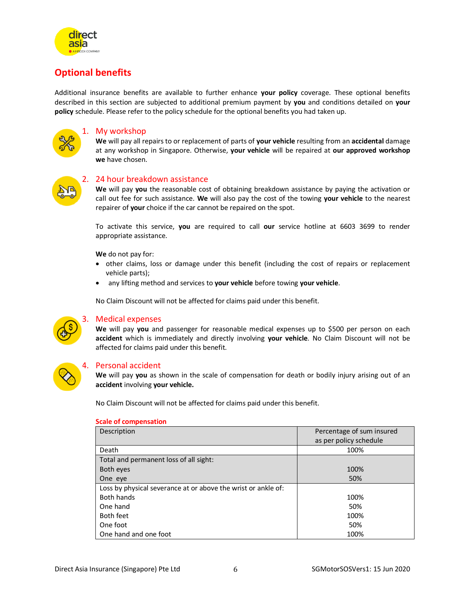

# **Optional benefits**

Additional insurance benefits are available to further enhance **your policy** coverage. These optional benefits described in this section are subjected to additional premium payment by **you** and conditions detailed on **your policy** schedule. Please refer to the policy schedule for the optional benefits you had taken up.



#### 1. My workshop

**We** will pay all repairs to or replacement of parts of **your vehicle** resulting from an **accidental** damage at any workshop in Singapore. Otherwise, **your vehicle** will be repaired at **our approved workshop we** have chosen.



#### 2. 24 hour breakdown assistance

**We** will pay **you** the reasonable cost of obtaining breakdown assistance by paying the activation or call out fee for such assistance. **We** will also pay the cost of the towing **your vehicle** to the nearest repairer of **your** choice if the car cannot be repaired on the spot.

To activate this service, **you** are required to call **our** service hotline at 6603 3699 to render appropriate assistance.

**We** do not pay for:

- other claims, loss or damage under this benefit (including the cost of repairs or replacement vehicle parts);
- any lifting method and services to **your vehicle** before towing **your vehicle**.

No Claim Discount will not be affected for claims paid under this benefit.



#### 3. Medical expenses

**We** will pay **you** and passenger for reasonable medical expenses up to \$500 per person on each **accident** which is immediately and directly involving **your vehicle**. No Claim Discount will not be affected for claims paid under this benefit.



#### 4. Personal accident

**We** will pay **you** as shown in the scale of compensation for death or bodily injury arising out of an **accident** involving **your vehicle.** 

No Claim Discount will not be affected for claims paid under this benefit.

| Description                                                   | Percentage of sum insured<br>as per policy schedule |
|---------------------------------------------------------------|-----------------------------------------------------|
| Death                                                         | 100%                                                |
| Total and permanent loss of all sight:                        |                                                     |
| Both eyes                                                     | 100%                                                |
| One eye                                                       | 50%                                                 |
| Loss by physical severance at or above the wrist or ankle of: |                                                     |
| Both hands                                                    | 100%                                                |
| One hand                                                      | 50%                                                 |
| Both feet                                                     | 100%                                                |
| One foot                                                      | 50%                                                 |
| One hand and one foot                                         | 100%                                                |

#### **Scale of compensation**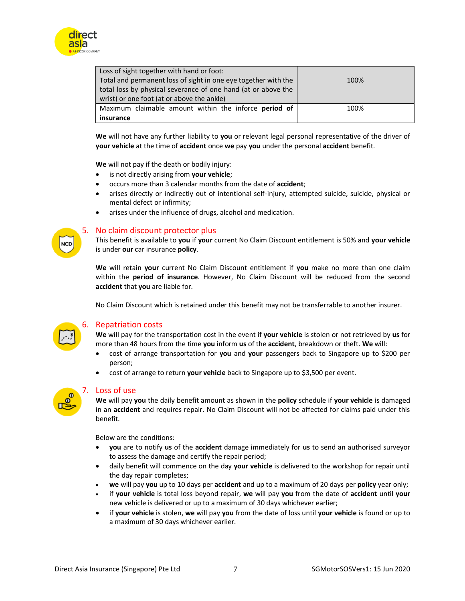

| Loss of sight together with hand or foot:                      |      |
|----------------------------------------------------------------|------|
| Total and permanent loss of sight in one eye together with the | 100% |
| total loss by physical severance of one hand (at or above the  |      |
| wrist) or one foot (at or above the ankle)                     |      |
| Maximum claimable amount within the inforce period of          | 100% |
| insurance                                                      |      |

**We** will not have any further liability to **you** or relevant legal personal representative of the driver of **your vehicle** at the time of **accident** once **we** pay **you** under the personal **accident** benefit.

**We** will not pay if the death or bodily injury:

- is not directly arising from **your vehicle**;
- occurs more than 3 calendar months from the date of **accident**;
- arises directly or indirectly out of intentional self-injury, attempted suicide, suicide, physical or mental defect or infirmity;
- arises under the influence of drugs, alcohol and medication.

#### 5. No claim discount protector plus

This benefit is available to **you** if **your** current No Claim Discount entitlement is 50% and **your vehicle** is under **our** car insurance **policy**.

**We** will retain **your** current No Claim Discount entitlement if **you** make no more than one claim within the **period of insurance**. However, No Claim Discount will be reduced from the second **accident** that **you** are liable for.

No Claim Discount which is retained under this benefit may not be transferrable to another insurer.



**NCD** 

#### 6. Repatriation costs

**We** will pay for the transportation cost in the event if **your vehicle** is stolen or not retrieved by **us** for more than 48 hours from the time **you** inform **us** of the **accident**, breakdown or theft. **We** will:

- cost of arrange transportation for **you** and **your** passengers back to Singapore up to \$200 per person;
- cost of arrange to return **your vehicle** back to Singapore up to \$3,500 per event.



#### 7. Loss of use

**We** will pay **you** the daily benefit amount as shown in the **policy** schedule if **your vehicle** is damaged in an **accident** and requires repair. No Claim Discount will not be affected for claims paid under this benefit.

Below are the conditions:

- **you** are to notify **us** of the **accident** damage immediately for **us** to send an authorised surveyor to assess the damage and certify the repair period;
- daily benefit will commence on the day **your vehicle** is delivered to the workshop for repair until the day repair completes;
- **we** will pay **you** up to 10 days per **accident** and up to a maximum of 20 days per **policy** year only;
- if **your vehicle** is total loss beyond repair, **we** will pay **you** from the date of **accident** until **your** new vehicle is delivered or up to a maximum of 30 days whichever earlier;
- if **your vehicle** is stolen, **we** will pay **you** from the date of loss until **your vehicle** is found or up to a maximum of 30 days whichever earlier.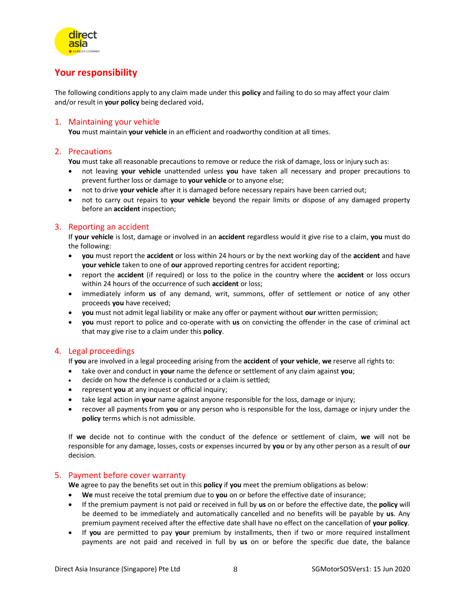

# **Your responsibility**

The following conditions apply to any claim made under this **policy** and failing to do so may affect your claim and/or result in **your policy** being declared void**.**

#### 1. Maintaining your vehicle

**You** must maintain **your vehicle** in an efficient and roadworthy condition at all times.

#### 2. Precautions

You must take all reasonable precautions to remove or reduce the risk of damage, loss or injury such as:

- not leaving **your vehicle** unattended unless **you** have taken all necessary and proper precautions to prevent further loss or damage to **your vehicle** or to anyone else;
- not to drive **your vehicle** after it is damaged before necessary repairs have been carried out;
- not to carry out repairs to **your vehicle** beyond the repair limits or dispose of any damaged property before an **accident** inspection;

#### 3. Reporting an accident

If **your vehicle** is lost, damage or involved in an **accident** regardless would it give rise to a claim, **you** must do the following:

- **you** must report the **accident** or loss within 24 hours or by the next working day of the **accident** and have **your vehicle** taken to one of **our** approved reporting centres for accident reporting;
- report the **accident** (if required) or loss to the police in the country where the **accident** or loss occurs within 24 hours of the occurrence of such **accident** or loss;
- immediately inform **us** of any demand, writ, summons, offer of settlement or notice of any other proceeds **you** have received;
- **you** must not admit legal liability or make any offer or payment without **our** written permission;
- **you** must report to police and co-operate with **us** on convicting the offender in the case of criminal act that may give rise to a claim under this **policy**.

#### 4. Legal proceedings

If **you** are involved in a legal proceeding arising from the **accident** of **your vehicle**, **we** reserve all rights to:

- take over and conduct in **your** name the defence or settlement of any claim against **you**;
- decide on how the defence is conducted or a claim is settled;
- represent **you** at any inquest or official inquiry;
- take legal action in **your** name against anyone responsible for the loss, damage or injury;
- recover all payments from **you** or any person who is responsible for the loss, damage or injury under the **policy** terms which is not admissible.

If **we** decide not to continue with the conduct of the defence or settlement of claim, **we** will not be responsible for any damage, losses, costs or expenses incurred by **you** or by any other person as a result of **our** decision.

#### 5. Payment before cover warranty

**We** agree to pay the benefits set out in this **policy** if **you** meet the premium obligations as below:

- **We** must receive the total premium due to **you** on or before the effective date of insurance;
- If the premium payment is not paid or received in full by **us** on or before the effective date, the **policy** will be deemed to be immediately and automatically cancelled and no benefits will be payable by **us**. Any premium payment received after the effective date shall have no effect on the cancellation of **your policy**.
- If **you** are permitted to pay **your** premium by installments, then if two or more required installment payments are not paid and received in full by **us** on or before the specific due date, the balance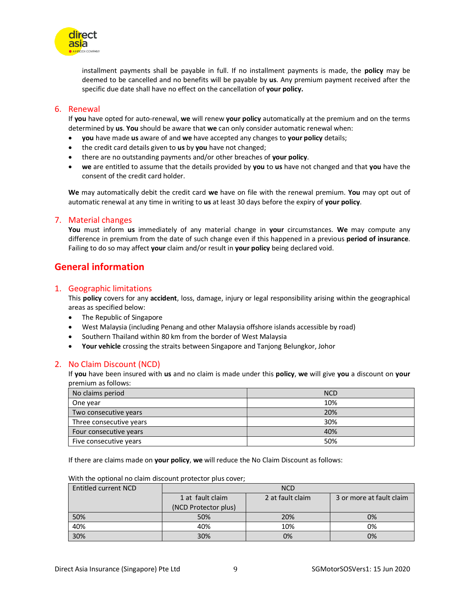

installment payments shall be payable in full. If no installment payments is made, the **policy** may be deemed to be cancelled and no benefits will be payable by **us**. Any premium payment received after the specific due date shall have no effect on the cancellation of **your policy.**

#### 6. Renewal

If **you** have opted for auto-renewal, **we** will renew **your policy** automatically at the premium and on the terms determined by **us**. **You** should be aware that **we** can only consider automatic renewal when:

- **you** have made **us** aware of and **we** have accepted any changes to **your policy** details;
- the credit card details given to **us** by **you** have not changed;
- there are no outstanding payments and/or other breaches of **your policy**.
- **we** are entitled to assume that the details provided by **you** to **us** have not changed and that **you** have the consent of the credit card holder.

**We** may automatically debit the credit card **we** have on file with the renewal premium. **You** may opt out of automatic renewal at any time in writing to **us** at least 30 days before the expiry of **your policy**.

#### 7. Material changes

**You** must inform **us** immediately of any material change in **your** circumstances. **We** may compute any difference in premium from the date of such change even if this happened in a previous **period of insurance**. Failing to do so may affect **your** claim and/or result in **your policy** being declared void.

## **General information**

#### 1. Geographic limitations

This **policy** covers for any **accident**, loss, damage, injury or legal responsibility arising within the geographical areas as specified below:

- The Republic of Singapore
- West Malaysia (including Penang and other Malaysia offshore islands accessible by road)
- Southern Thailand within 80 km from the border of West Malaysia
- **Your vehicle** crossing the straits between Singapore and Tanjong Belungkor, Johor

#### 2. No Claim Discount (NCD)

If **you** have been insured with **us** and no claim is made under this **policy**, **we** will give **you** a discount on **your** premium as follows:

| No claims period        | <b>NCD</b> |
|-------------------------|------------|
| One year                | 10%        |
| Two consecutive years   | 20%        |
| Three consecutive years | 30%        |
| Four consecutive years  | 40%        |
| Five consecutive years  | 50%        |

If there are claims made on **your policy**, **we** will reduce the No Claim Discount as follows:

| Entitled current NCD | <b>NCD</b>           |                  |                          |
|----------------------|----------------------|------------------|--------------------------|
|                      | 1 at fault claim     | 2 at fault claim | 3 or more at fault claim |
|                      | (NCD Protector plus) |                  |                          |
| 50%                  | 50%                  | 20%              | 0%                       |
| 40%                  | 40%                  | 10%              | 0%                       |
| 30%                  | 30%                  | 0%               | 0%                       |

With the optional no claim discount protector plus cover;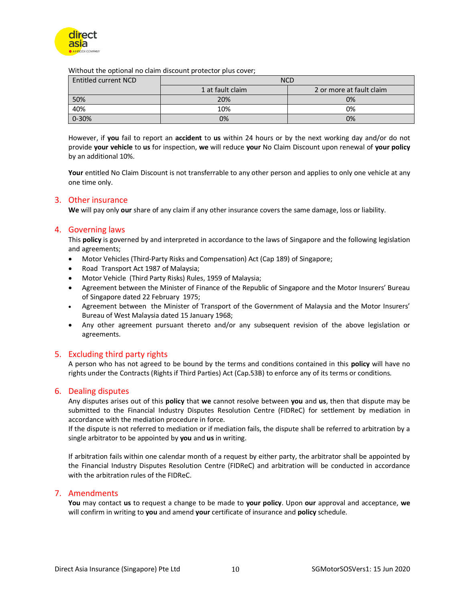

Without the optional no claim discount protector plus cover;

| Entitled current NCD | <b>NCD</b>       |                          |
|----------------------|------------------|--------------------------|
|                      | 1 at fault claim | 2 or more at fault claim |
| 50%                  | 20%              | 0%                       |
| 40%                  | 10%              | 0%                       |
| 0-30%                | 0%               | 0%                       |

However, if **you** fail to report an **accident** to **us** within 24 hours or by the next working day and/or do not provide **your vehicle** to **us** for inspection, **we** will reduce **your** No Claim Discount upon renewal of **your policy** by an additional 10%.

**Your** entitled No Claim Discount is not transferrable to any other person and applies to only one vehicle at any one time only.

#### 3. Other insurance

**We** will pay only **our** share of any claim if any other insurance covers the same damage, loss or liability.

#### 4. Governing laws

This **policy** is governed by and interpreted in accordance to the laws of Singapore and the following legislation and agreements;

- Motor Vehicles (Third-Party Risks and Compensation) Act (Cap 189) of Singapore;
- Road Transport Act 1987 of Malaysia;
- Motor Vehicle (Third Party Risks) Rules, 1959 of Malaysia;
- Agreement between the Minister of Finance of the Republic of Singapore and the Motor Insurers' Bureau of Singapore dated 22 February 1975;
- Agreement between the Minister of Transport of the Government of Malaysia and the Motor Insurers' Bureau of West Malaysia dated 15 January 1968;
- Any other agreement pursuant thereto and/or any subsequent revision of the above legislation or agreements.

#### 5. Excluding third party rights

A person who has not agreed to be bound by the terms and conditions contained in this **policy** will have no rights under the Contracts (Rights if Third Parties) Act (Cap.53B) to enforce any of its terms or conditions.

#### 6. Dealing disputes

Any disputes arises out of this **policy** that **we** cannot resolve between **you** and **us**, then that dispute may be submitted to the Financial Industry Disputes Resolution Centre (FIDReC) for settlement by mediation in accordance with the mediation procedure in force.

If the dispute is not referred to mediation or if mediation fails, the dispute shall be referred to arbitration by a single arbitrator to be appointed by **you** and **us** in writing.

If arbitration fails within one calendar month of a request by either party, the arbitrator shall be appointed by the Financial Industry Disputes Resolution Centre (FIDReC) and arbitration will be conducted in accordance with the arbitration rules of the FIDReC.

#### 7. Amendments

**You** may contact **us** to request a change to be made to **your policy**. Upon **our** approval and acceptance, **we** will confirm in writing to **you** and amend **your** certificate of insurance and **policy** schedule.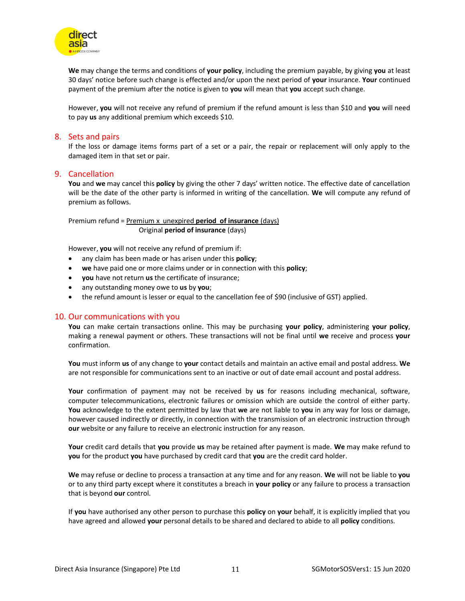

**We** may change the terms and conditions of **your policy**, including the premium payable, by giving **you** at least 30 days' notice before such change is effected and/or upon the next period of **your** insurance. **Your** continued payment of the premium after the notice is given to **you** will mean that **you** accept such change.

However, **you** will not receive any refund of premium if the refund amount is less than \$10 and **you** will need to pay **us** any additional premium which exceeds \$10.

#### 8. Sets and pairs

If the loss or damage items forms part of a set or a pair, the repair or replacement will only apply to the damaged item in that set or pair.

#### 9. Cancellation

**You** and **we** may cancel this **policy** by giving the other 7 days' written notice. The effective date of cancellation will be the date of the other party is informed in writing of the cancellation. **We** will compute any refund of premium as follows.

Premium refund = Premium x unexpired **period of insurance** (days) Original **period of insurance** (days)

However, **you** will not receive any refund of premium if:

- any claim has been made or has arisen under this **policy**;
- **we** have paid one or more claims under or in connection with this **policy**;
- **you** have not return **us** the certificate of insurance;
- any outstanding money owe to **us** by **you**;
- the refund amount is lesser or equal to the cancellation fee of \$90 (inclusive of GST) applied.

#### 10. Our communications with you

**You** can make certain transactions online. This may be purchasing **your policy**, administering **your policy**, making a renewal payment or others. These transactions will not be final until **we** receive and process **your** confirmation.

**You** must inform **us** of any change to **your** contact details and maintain an active email and postal address. **We** are not responsible for communications sent to an inactive or out of date email account and postal address.

**Your** confirmation of payment may not be received by **us** for reasons including mechanical, software, computer telecommunications, electronic failures or omission which are outside the control of either party. **You** acknowledge to the extent permitted by law that **we** are not liable to **you** in any way for loss or damage, however caused indirectly or directly, in connection with the transmission of an electronic instruction through **our** website or any failure to receive an electronic instruction for any reason.

**Your** credit card details that **you** provide **us** may be retained after payment is made. **We** may make refund to **you** for the product **you** have purchased by credit card that **you** are the credit card holder.

**We** may refuse or decline to process a transaction at any time and for any reason. **We** will not be liable to **you** or to any third party except where it constitutes a breach in **your policy** or any failure to process a transaction that is beyond **our** control.

If **you** have authorised any other person to purchase this **policy** on **your** behalf, it is explicitly implied that you have agreed and allowed **your** personal details to be shared and declared to abide to all **policy** conditions.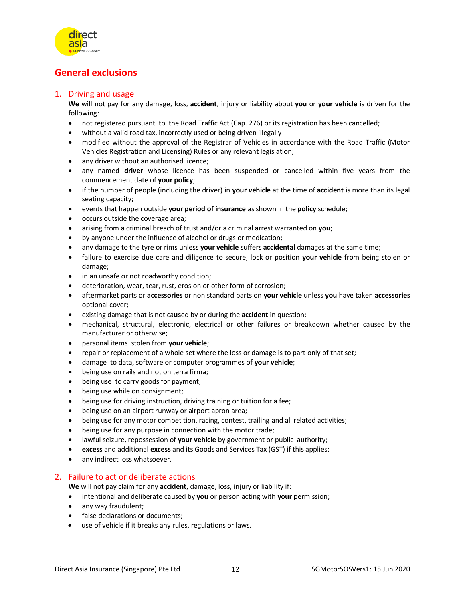

# **General exclusions**

#### 1. Driving and usage

**We** will not pay for any damage, loss, **accident**, injury or liability about **you** or **your vehicle** is driven for the following:

- not registered pursuant to the Road Traffic Act (Cap. 276) or its registration has been cancelled;
- without a valid road tax, incorrectly used or being driven illegally
- modified without the approval of the Registrar of Vehicles in accordance with the Road Traffic (Motor Vehicles Registration and Licensing) Rules or any relevant legislation;
- any driver without an authorised licence;
- any named **driver** whose licence has been suspended or cancelled within five years from the commencement date of **your policy**;
- if the number of people (including the driver) in **your vehicle** at the time of **accident** is more than its legal seating capacity;
- events that happen outside **your period of insurance** as shown in the **policy** schedule;
- occurs outside the coverage area;
- arising from a criminal breach of trust and/or a criminal arrest warranted on **you**;
- by anyone under the influence of alcohol or drugs or medication;
- any damage to the tyre or rims unless **your vehicle** suffers **accidental** damages at the same time;
- failure to exercise due care and diligence to secure, lock or position **your vehicle** from being stolen or damage;
- in an unsafe or not roadworthy condition;
- deterioration, wear, tear, rust, erosion or other form of corrosion;
- aftermarket parts or **accessories** or non standard parts on **your vehicle** unless **you** have taken **accessories** optional cover;
- existing damage that is not ca**us**ed by or during the **accident** in question;
- mechanical, structural, electronic, electrical or other failures or breakdown whether caused by the manufacturer or otherwise;
- personal items stolen from **your vehicle**;
- repair or replacement of a whole set where the loss or damage is to part only of that set;
- damage to data, software or computer programmes of **your vehicle**;
- being use on rails and not on terra firma;
- being use to carry goods for payment;
- being use while on consignment;
- being use for driving instruction, driving training or tuition for a fee;
- being use on an airport runway or airport apron area;
- being use for any motor competition, racing, contest, trailing and all related activities;
- being use for any purpose in connection with the motor trade;
- lawful seizure, repossession of **your vehicle** by government or public authority;
- **excess** and additional **excess** and its Goods and Services Tax (GST) if this applies;
- any indirect loss whatsoever.

#### 2. Failure to act or deliberate actions

**We** will not pay claim for any **accident**, damage, loss, injury or liability if:

- intentional and deliberate caused by **you** or person acting with **your** permission;
- any way fraudulent;
- false declarations or documents;
- use of vehicle if it breaks any rules, regulations or laws.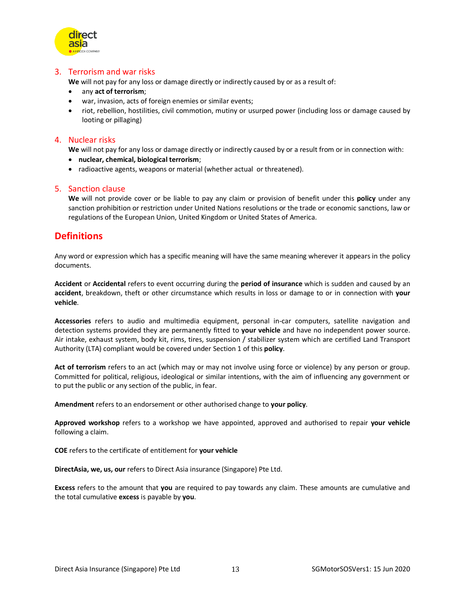

#### 3. Terrorism and war risks

**We** will not pay for any loss or damage directly or indirectly caused by or as a result of:

- any **act of terrorism**;
- war, invasion, acts of foreign enemies or similar events;
- riot, rebellion, hostilities, civil commotion, mutiny or usurped power (including loss or damage caused by looting or pillaging)

#### 4. Nuclear risks

**We** will not pay for any loss or damage directly or indirectly caused by or a result from or in connection with:

- **nuclear, chemical, biological terrorism**;
- radioactive agents, weapons or material (whether actual or threatened).

#### 5. Sanction clause

**We** will not provide cover or be liable to pay any claim or provision of benefit under this **policy** under any sanction prohibition or restriction under United Nations resolutions or the trade or economic sanctions, law or regulations of the European Union, United Kingdom or United States of America.

## **Definitions**

Any word or expression which has a specific meaning will have the same meaning wherever it appears in the policy documents.

**Accident** or **Accidental** refers to event occurring during the **period of insurance** which is sudden and caused by an **accident**, breakdown, theft or other circumstance which results in loss or damage to or in connection with **your vehicle**.

**Accessories** refers to audio and multimedia equipment, personal in-car computers, satellite navigation and detection systems provided they are permanently fitted to **your vehicle** and have no independent power source. Air intake, exhaust system, body kit, rims, tires, suspension / stabilizer system which are certified Land Transport Authority (LTA) compliant would be covered under Section 1 of this **policy**.

**Act of terrorism** refers to an act (which may or may not involve using force or violence) by any person or group. Committed for political, religious, ideological or similar intentions, with the aim of influencing any government or to put the public or any section of the public, in fear.

**Amendment** refers to an endorsement or other authorised change to **your policy**.

**Approved workshop** refers to a workshop we have appointed, approved and authorised to repair **your vehicle** following a claim.

**COE** refers to the certificate of entitlement for **your vehicle**

**DirectAsia, we, us, our** refers to Direct Asia insurance (Singapore) Pte Ltd.

**Excess** refers to the amount that **you** are required to pay towards any claim. These amounts are cumulative and the total cumulative **excess** is payable by **you**.